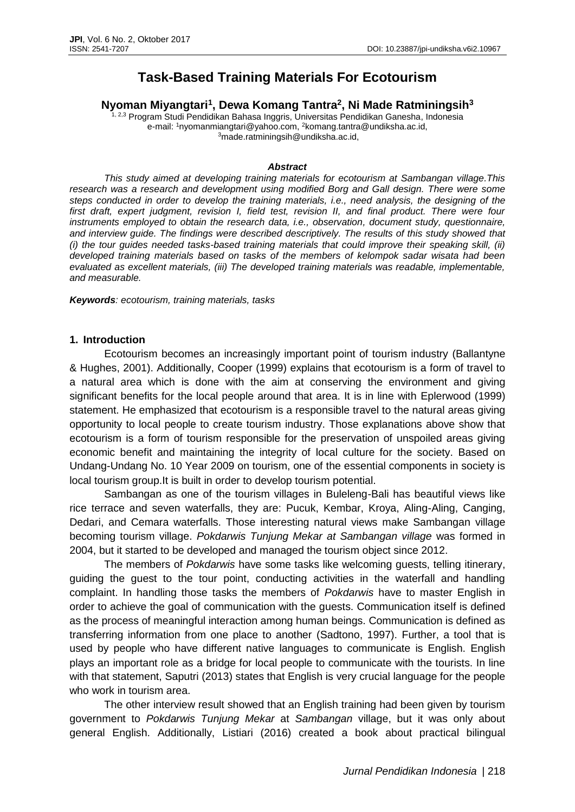# **Task-Based Training Materials For Ecotourism**

**Nyoman Miyangtari<sup>1</sup> , Dewa Komang Tantra<sup>2</sup> , Ni Made Ratminingsih<sup>3</sup>**

<sup>1, 2,3</sup> Program Studi Pendidikan Bahasa Inggris, Universitas Pendidikan Ganesha, Indonesia e-mail: <sup>1</sup>nyomanmiangtari@yahoo.com, <sup>2</sup>komang.tantra@undiksha.ac.id, <sup>3</sup>made.ratminingsih@undiksha.ac.id,

#### *Abstract*

*This study aimed at developing training materials for ecotourism at Sambangan village.This*  research was a research and development using modified Borg and Gall design. There were some *steps conducted in order to develop the training materials, i.e., need analysis, the designing of the*  first draft, expert judgment, revision I, field test, revision II, and final product. There were four *instruments employed to obtain the research data, i.e., observation, document study, questionnaire, and interview guide. The findings were described descriptively. The results of this study showed that (i) the tour guides needed tasks-based training materials that could improve their speaking skill, (ii) developed training materials based on tasks of the members of kelompok sadar wisata had been evaluated as excellent materials, (iii) The developed training materials was readable, implementable, and measurable.*

*Keywords: ecotourism, training materials, tasks*

### **1. Introduction**

Ecotourism becomes an increasingly important point of tourism industry (Ballantyne & Hughes, 2001). Additionally, Cooper (1999) explains that ecotourism is a form of travel to a natural area which is done with the aim at conserving the environment and giving significant benefits for the local people around that area. It is in line with Eplerwood (1999) statement. He emphasized that ecotourism is a responsible travel to the natural areas giving opportunity to local people to create tourism industry. Those explanations above show that ecotourism is a form of tourism responsible for the preservation of unspoiled areas giving economic benefit and maintaining the integrity of local culture for the society. Based on Undang-Undang No. 10 Year 2009 on tourism, one of the essential components in society is local tourism group.It is built in order to develop tourism potential.

Sambangan as one of the tourism villages in Buleleng-Bali has beautiful views like rice terrace and seven waterfalls, they are: Pucuk, Kembar, Kroya, Aling-Aling, Canging, Dedari, and Cemara waterfalls. Those interesting natural views make Sambangan village becoming tourism village. *Pokdarwis Tunjung Mekar at Sambangan village* was formed in 2004, but it started to be developed and managed the tourism object since 2012.

The members of *Pokdarwis* have some tasks like welcoming guests, telling itinerary, guiding the guest to the tour point, conducting activities in the waterfall and handling complaint. In handling those tasks the members of *Pokdarwis* have to master English in order to achieve the goal of communication with the guests. Communication itself is defined as the process of meaningful interaction among human beings. Communication is defined as transferring information from one place to another (Sadtono, 1997). Further, a tool that is used by people who have different native languages to communicate is English. English plays an important role as a bridge for local people to communicate with the tourists. In line with that statement, Saputri (2013) states that English is very crucial language for the people who work in tourism area.

The other interview result showed that an English training had been given by tourism government to *Pokdarwis Tunjung Mekar* at *Sambangan* village, but it was only about general English. Additionally, Listiari (2016) created a book about practical bilingual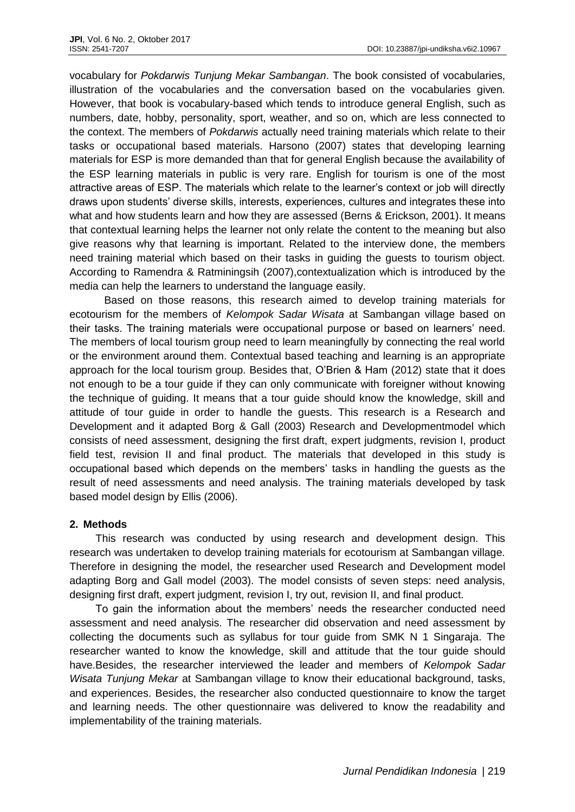vocabulary for *Pokdarwis Tunjung Mekar Sambangan*. The book consisted of vocabularies, illustration of the vocabularies and the conversation based on the vocabularies given. However, that book is vocabulary-based which tends to introduce general English, such as numbers, date, hobby, personality, sport, weather, and so on, which are less connected to the context. The members of *Pokdarwis* actually need training materials which relate to their tasks or occupational based materials. Harsono (2007) states that developing learning materials for ESP is more demanded than that for general English because the availability of the ESP learning materials in public is very rare. English for tourism is one of the most attractive areas of ESP. The materials which relate to the learner's context or job will directly draws upon students' diverse skills, interests, experiences, cultures and integrates these into what and how students learn and how they are assessed (Berns & Erickson, 2001). It means that contextual learning helps the learner not only relate the content to the meaning but also give reasons why that learning is important. Related to the interview done, the members need training material which based on their tasks in guiding the guests to tourism object. According to Ramendra & Ratminingsih (2007),contextualization which is introduced by the media can help the learners to understand the language easily.

Based on those reasons, this research aimed to develop training materials for ecotourism for the members of *Kelompok Sadar Wisata* at Sambangan village based on their tasks. The training materials were occupational purpose or based on learners' need. The members of local tourism group need to learn meaningfully by connecting the real world or the environment around them. Contextual based teaching and learning is an appropriate approach for the local tourism group. Besides that, O'Brien & Ham (2012) state that it does not enough to be a tour guide if they can only communicate with foreigner without knowing the technique of guiding. It means that a tour guide should know the knowledge, skill and attitude of tour guide in order to handle the guests. This research is a Research and Development and it adapted Borg & Gall (2003) Research and Developmentmodel which consists of need assessment, designing the first draft, expert judgments, revision I, product field test, revision II and final product. The materials that developed in this study is occupational based which depends on the members' tasks in handling the guests as the result of need assessments and need analysis. The training materials developed by task based model design by Ellis (2006).

# **2. Methods**

This research was conducted by using research and development design. This research was undertaken to develop training materials for ecotourism at Sambangan village. Therefore in designing the model, the researcher used Research and Development model adapting Borg and Gall model (2003). The model consists of seven steps: need analysis, designing first draft, expert judgment, revision I, try out, revision II, and final product.

To gain the information about the members' needs the researcher conducted need assessment and need analysis. The researcher did observation and need assessment by collecting the documents such as syllabus for tour guide from SMK N 1 Singaraja. The researcher wanted to know the knowledge, skill and attitude that the tour guide should have.Besides, the researcher interviewed the leader and members of *Kelompok Sadar Wisata Tunjung Mekar* at Sambangan village to know their educational background, tasks, and experiences. Besides, the researcher also conducted questionnaire to know the target and learning needs. The other questionnaire was delivered to know the readability and implementability of the training materials.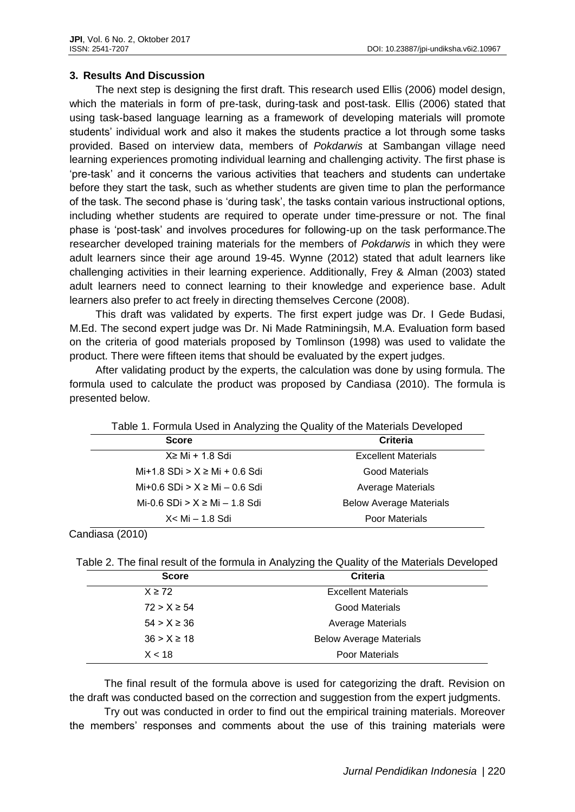# **3. Results And Discussion**

The next step is designing the first draft. This research used Ellis (2006) model design, which the materials in form of pre-task, during-task and post-task. Ellis (2006) stated that using task-based language learning as a framework of developing materials will promote students' individual work and also it makes the students practice a lot through some tasks provided. Based on interview data, members of *Pokdarwis* at Sambangan village need learning experiences promoting individual learning and challenging activity. The first phase is 'pre-task' and it concerns the various activities that teachers and students can undertake before they start the task, such as whether students are given time to plan the performance of the task. The second phase is 'during task', the tasks contain various instructional options, including whether students are required to operate under time-pressure or not. The final phase is 'post-task' and involves procedures for following-up on the task performance.The researcher developed training materials for the members of *Pokdarwis* in which they were adult learners since their age around 19-45. Wynne (2012) stated that adult learners like challenging activities in their learning experience. Additionally, Frey & Alman (2003) stated adult learners need to connect learning to their knowledge and experience base. Adult learners also prefer to act freely in directing themselves Cercone (2008).

This draft was validated by experts. The first expert judge was Dr. I Gede Budasi, M.Ed. The second expert judge was Dr. Ni Made Ratminingsih, M.A. Evaluation form based on the criteria of good materials proposed by Tomlinson (1998) was used to validate the product. There were fifteen items that should be evaluated by the expert judges.

After validating product by the experts, the calculation was done by using formula. The formula used to calculate the product was proposed by Candiasa (2010). The formula is presented below.

| Table 1. Formula Used in Analyzing the Quality of the Materials Developed |                                |  |
|---------------------------------------------------------------------------|--------------------------------|--|
| <b>Score</b>                                                              | Criteria                       |  |
| $X \geq Mi + 1.8$ Sdi                                                     | <b>Excellent Materials</b>     |  |
| $Mi+1.8$ SDi > $X \geq Mi + 0.6$ Sdi                                      | Good Materials                 |  |
| Mi+0.6 SDi > $X \geq Mi - 0.6$ Sdi                                        | <b>Average Materials</b>       |  |
| Mi-0.6 SDi > $X \geq Mi - 1.8$ Sdi                                        | <b>Below Average Materials</b> |  |
| X< Mi - 1.8 Sdi                                                           | <b>Poor Materials</b>          |  |

Candiasa (2010)

| Table 2. The final result of the formula in Analyzing the Quality of the Materials Developed |  |  |  |
|----------------------------------------------------------------------------------------------|--|--|--|
|                                                                                              |  |  |  |

| <b>Criteria</b><br><b>Score</b>           |                                |
|-------------------------------------------|--------------------------------|
| <b>Excellent Materials</b><br>$X \geq 72$ |                                |
| $72 > X \ge 54$                           | <b>Good Materials</b>          |
| $54 > X \ge 36$                           | <b>Average Materials</b>       |
| $36 > X \ge 18$                           | <b>Below Average Materials</b> |
| X < 18                                    | <b>Poor Materials</b>          |

The final result of the formula above is used for categorizing the draft. Revision on the draft was conducted based on the correction and suggestion from the expert judgments.

Try out was conducted in order to find out the empirical training materials. Moreover the members' responses and comments about the use of this training materials were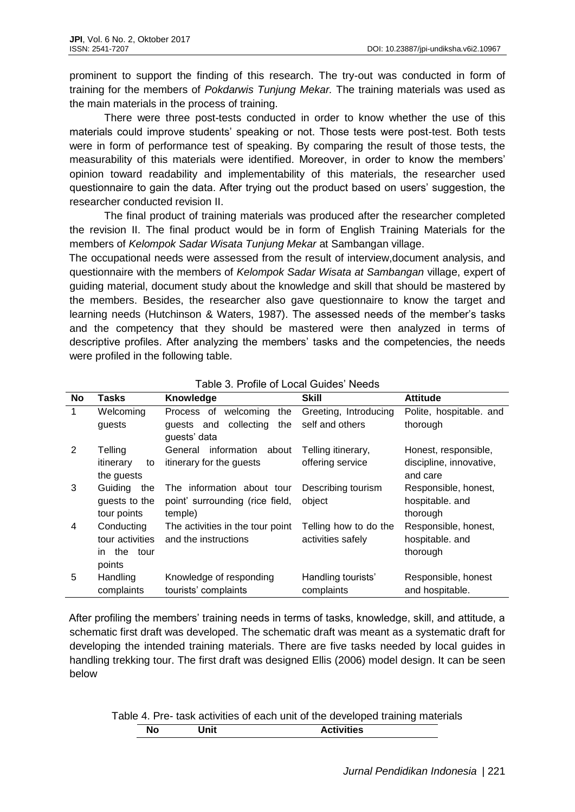prominent to support the finding of this research. The try-out was conducted in form of training for the members of *Pokdarwis Tunjung Mekar.* The training materials was used as the main materials in the process of training.

There were three post-tests conducted in order to know whether the use of this materials could improve students' speaking or not. Those tests were post-test. Both tests were in form of performance test of speaking. By comparing the result of those tests, the measurability of this materials were identified. Moreover, in order to know the members' opinion toward readability and implementability of this materials, the researcher used questionnaire to gain the data. After trying out the product based on users' suggestion, the researcher conducted revision II.

The final product of training materials was produced after the researcher completed the revision II. The final product would be in form of English Training Materials for the members of *Kelompok Sadar Wisata Tunjung Mekar* at Sambangan village.

The occupational needs were assessed from the result of interview,document analysis, and questionnaire with the members of *Kelompok Sadar Wisata at Sambangan* village, expert of guiding material, document study about the knowledge and skill that should be mastered by the members. Besides, the researcher also gave questionnaire to know the target and learning needs (Hutchinson & Waters, 1987). The assessed needs of the member's tasks and the competency that they should be mastered were then analyzed in terms of descriptive profiles. After analyzing the members' tasks and the competencies, the needs were profiled in the following table.

| <b>No</b>    | Tasks           | Knowledge                        | <b>Skill</b>          | <b>Attitude</b>         |
|--------------|-----------------|----------------------------------|-----------------------|-------------------------|
| $\mathbf{1}$ | Welcoming       | welcoming<br>the<br>Process of   | Greeting, Introducing | Polite, hospitable. and |
|              | guests          | collecting<br>the<br>quests and  | self and others       | thorough                |
|              |                 | guests' data                     |                       |                         |
| 2            | Telling         | information about<br>General     | Telling itinerary,    | Honest, responsible,    |
|              | itinerary<br>to | itinerary for the guests         | offering service      | discipline, innovative, |
|              | the guests      |                                  |                       | and care                |
| 3            | Guiding<br>the  | The information about tour       | Describing tourism    | Responsible, honest,    |
|              | guests to the   | point' surrounding (rice field,  | object                | hospitable. and         |
|              | tour points     | temple)                          |                       | thorough                |
| 4            | Conducting      | The activities in the tour point | Telling how to do the | Responsible, honest,    |
|              | tour activities | and the instructions             | activities safely     | hospitable. and         |
|              | in the tour     |                                  |                       | thorough                |
|              | points          |                                  |                       |                         |
| 5            | Handling        | Knowledge of responding          | Handling tourists'    | Responsible, honest     |
|              | complaints      | tourists' complaints             | complaints            | and hospitable.         |

## Table 3. Profile of Local Guides' Needs

After profiling the members' training needs in terms of tasks, knowledge, skill, and attitude, a schematic first draft was developed. The schematic draft was meant as a systematic draft for developing the intended training materials. There are five tasks needed by local guides in handling trekking tour. The first draft was designed Ellis (2006) model design. It can be seen below

Table 4. Pre- task activities of each unit of the developed training materials **No Unit Activities**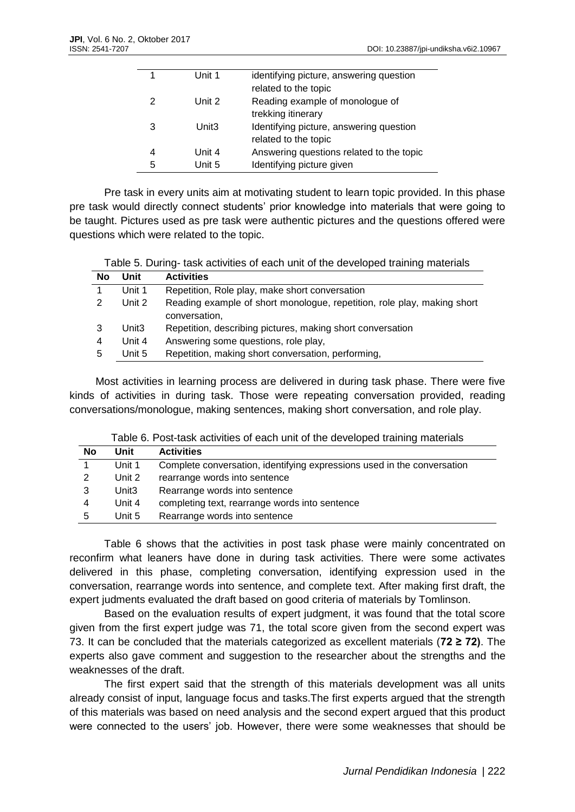|   | Unit 1            | identifying picture, answering question  |
|---|-------------------|------------------------------------------|
|   |                   | related to the topic                     |
| 2 | Unit 2            | Reading example of monologue of          |
|   |                   | trekking itinerary                       |
| 3 | Unit <sub>3</sub> | Identifying picture, answering question  |
|   |                   | related to the topic                     |
| 4 | Unit 4            | Answering questions related to the topic |
| 5 | Unit 5            | Identifying picture given                |
|   |                   |                                          |

Pre task in every units aim at motivating student to learn topic provided. In this phase pre task would directly connect students' prior knowledge into materials that were going to be taught. Pictures used as pre task were authentic pictures and the questions offered were questions which were related to the topic.

| Table 5. During- task activities of each unit of the developed training materials |  |
|-----------------------------------------------------------------------------------|--|
|-----------------------------------------------------------------------------------|--|

| No | Unit              | <b>Activities</b>                                                                        |
|----|-------------------|------------------------------------------------------------------------------------------|
|    | Unit 1            | Repetition, Role play, make short conversation                                           |
| 2  | Unit 2            | Reading example of short monologue, repetition, role play, making short<br>conversation, |
| 3  | Unit <sub>3</sub> | Repetition, describing pictures, making short conversation                               |
| 4  | Unit 4            | Answering some questions, role play,                                                     |
| 5  | Unit 5            | Repetition, making short conversation, performing,                                       |

Most activities in learning process are delivered in during task phase. There were five kinds of activities in during task. Those were repeating conversation provided, reading conversations/monologue, making sentences, making short conversation, and role play.

| Table 6. Post-task activities of each unit of the developed training materials |  |  |
|--------------------------------------------------------------------------------|--|--|
|                                                                                |  |  |

| No | Unit              | <b>Activities</b>                                                       |
|----|-------------------|-------------------------------------------------------------------------|
|    | Unit 1            | Complete conversation, identifying expressions used in the conversation |
|    | Unit 2            | rearrange words into sentence                                           |
|    | Unit <sub>3</sub> | Rearrange words into sentence                                           |
| 4  | Unit 4            | completing text, rearrange words into sentence                          |
| 5  | Unit 5            | Rearrange words into sentence                                           |

Table 6 shows that the activities in post task phase were mainly concentrated on reconfirm what leaners have done in during task activities. There were some activates delivered in this phase, completing conversation, identifying expression used in the conversation, rearrange words into sentence, and complete text. After making first draft, the expert judments evaluated the draft based on good criteria of materials by Tomlinson.

Based on the evaluation results of expert judgment, it was found that the total score given from the first expert judge was 71, the total score given from the second expert was 73. It can be concluded that the materials categorized as excellent materials (**72 ≥ 72)**. The experts also gave comment and suggestion to the researcher about the strengths and the weaknesses of the draft.

The first expert said that the strength of this materials development was all units already consist of input, language focus and tasks.The first experts argued that the strength of this materials was based on need analysis and the second expert argued that this product were connected to the users' job. However, there were some weaknesses that should be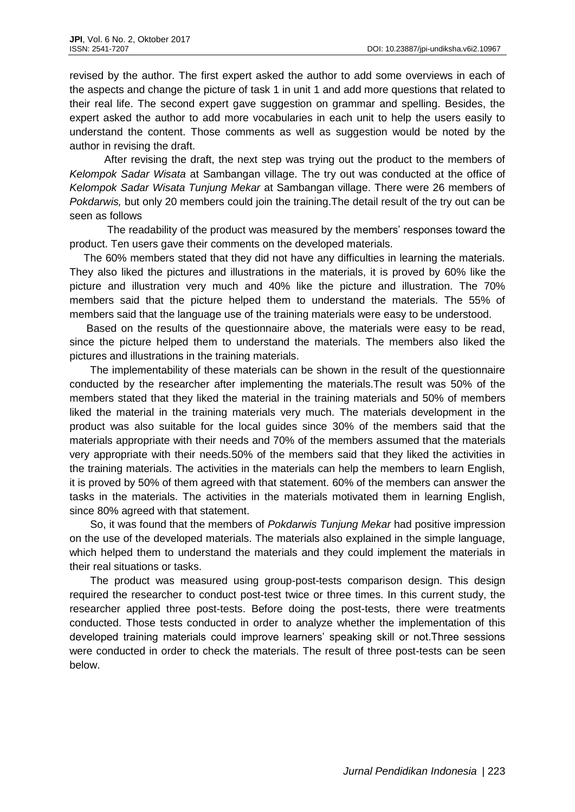revised by the author. The first expert asked the author to add some overviews in each of the aspects and change the picture of task 1 in unit 1 and add more questions that related to their real life. The second expert gave suggestion on grammar and spelling. Besides, the expert asked the author to add more vocabularies in each unit to help the users easily to understand the content. Those comments as well as suggestion would be noted by the author in revising the draft.

After revising the draft, the next step was trying out the product to the members of *Kelompok Sadar Wisata* at Sambangan village. The try out was conducted at the office of *Kelompok Sadar Wisata Tunjung Mekar* at Sambangan village. There were 26 members of *Pokdarwis,* but only 20 members could join the training.The detail result of the try out can be seen as follows

The readability of the product was measured by the members' responses toward the product. Ten users gave their comments on the developed materials.

The 60% members stated that they did not have any difficulties in learning the materials. They also liked the pictures and illustrations in the materials, it is proved by 60% like the picture and illustration very much and 40% like the picture and illustration. The 70% members said that the picture helped them to understand the materials. The 55% of members said that the language use of the training materials were easy to be understood.

Based on the results of the questionnaire above, the materials were easy to be read, since the picture helped them to understand the materials. The members also liked the pictures and illustrations in the training materials.

The implementability of these materials can be shown in the result of the questionnaire conducted by the researcher after implementing the materials.The result was 50% of the members stated that they liked the material in the training materials and 50% of members liked the material in the training materials very much. The materials development in the product was also suitable for the local guides since 30% of the members said that the materials appropriate with their needs and 70% of the members assumed that the materials very appropriate with their needs.50% of the members said that they liked the activities in the training materials. The activities in the materials can help the members to learn English, it is proved by 50% of them agreed with that statement. 60% of the members can answer the tasks in the materials. The activities in the materials motivated them in learning English, since 80% agreed with that statement.

So, it was found that the members of *Pokdarwis Tunjung Mekar* had positive impression on the use of the developed materials. The materials also explained in the simple language, which helped them to understand the materials and they could implement the materials in their real situations or tasks.

The product was measured using group-post-tests comparison design. This design required the researcher to conduct post-test twice or three times. In this current study, the researcher applied three post-tests. Before doing the post-tests, there were treatments conducted. Those tests conducted in order to analyze whether the implementation of this developed training materials could improve learners' speaking skill or not.Three sessions were conducted in order to check the materials. The result of three post-tests can be seen below.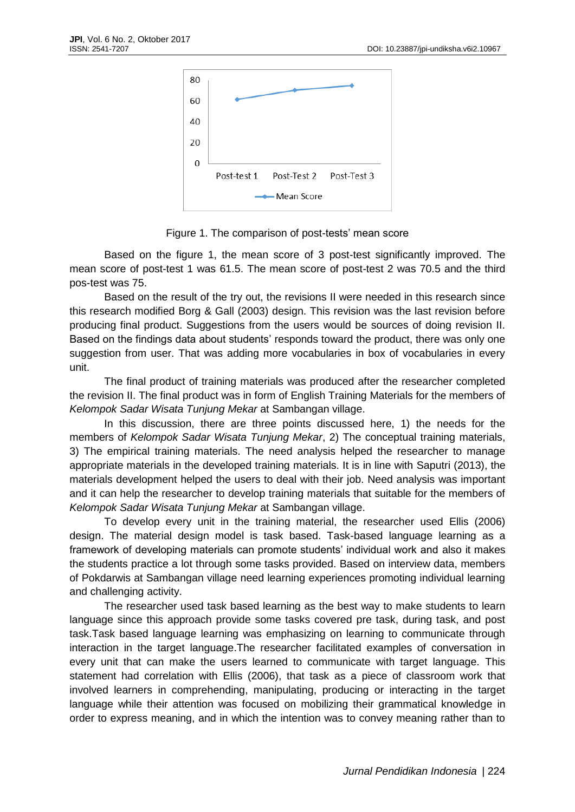

Figure 1. The comparison of post-tests' mean score

Based on the figure 1, the mean score of 3 post-test significantly improved. The mean score of post-test 1 was 61.5. The mean score of post-test 2 was 70.5 and the third pos-test was 75.

Based on the result of the try out, the revisions II were needed in this research since this research modified Borg & Gall (2003) design. This revision was the last revision before producing final product. Suggestions from the users would be sources of doing revision II. Based on the findings data about students' responds toward the product, there was only one suggestion from user. That was adding more vocabularies in box of vocabularies in every unit.

The final product of training materials was produced after the researcher completed the revision II. The final product was in form of English Training Materials for the members of *Kelompok Sadar Wisata Tunjung Mekar* at Sambangan village.

In this discussion, there are three points discussed here, 1) the needs for the members of *Kelompok Sadar Wisata Tunjung Mekar*, 2) The conceptual training materials, 3) The empirical training materials. The need analysis helped the researcher to manage appropriate materials in the developed training materials. It is in line with Saputri (2013), the materials development helped the users to deal with their job. Need analysis was important and it can help the researcher to develop training materials that suitable for the members of *Kelompok Sadar Wisata Tunjung Mekar* at Sambangan village.

To develop every unit in the training material, the researcher used Ellis (2006) design. The material design model is task based. Task-based language learning as a framework of developing materials can promote students' individual work and also it makes the students practice a lot through some tasks provided. Based on interview data, members of Pokdarwis at Sambangan village need learning experiences promoting individual learning and challenging activity.

The researcher used task based learning as the best way to make students to learn language since this approach provide some tasks covered pre task, during task, and post task.Task based language learning was emphasizing on learning to communicate through interaction in the target language.The researcher facilitated examples of conversation in every unit that can make the users learned to communicate with target language. This statement had correlation with Ellis (2006), that task as a piece of classroom work that involved learners in comprehending, manipulating, producing or interacting in the target language while their attention was focused on mobilizing their grammatical knowledge in order to express meaning, and in which the intention was to convey meaning rather than to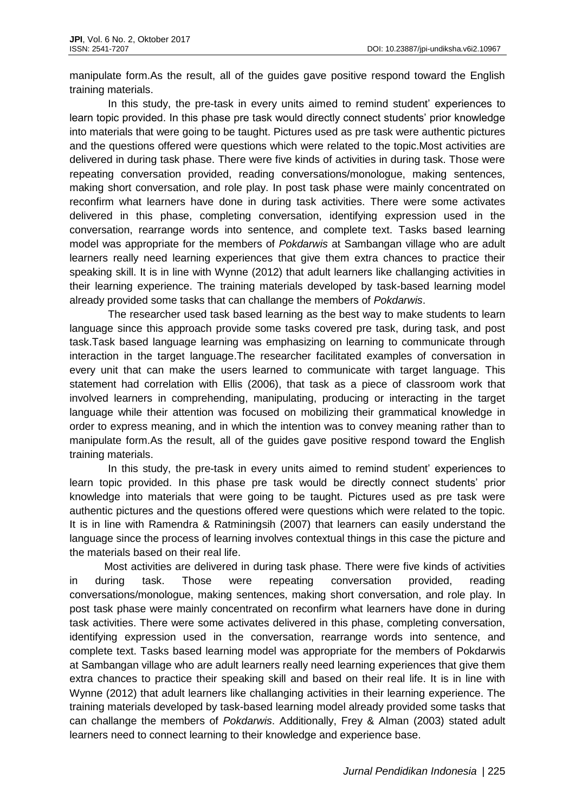manipulate form.As the result, all of the guides gave positive respond toward the English training materials.

In this study, the pre-task in every units aimed to remind student' experiences to learn topic provided. In this phase pre task would directly connect students' prior knowledge into materials that were going to be taught. Pictures used as pre task were authentic pictures and the questions offered were questions which were related to the topic.Most activities are delivered in during task phase. There were five kinds of activities in during task. Those were repeating conversation provided, reading conversations/monologue, making sentences, making short conversation, and role play. In post task phase were mainly concentrated on reconfirm what learners have done in during task activities. There were some activates delivered in this phase, completing conversation, identifying expression used in the conversation, rearrange words into sentence, and complete text. Tasks based learning model was appropriate for the members of *Pokdarwis* at Sambangan village who are adult learners really need learning experiences that give them extra chances to practice their speaking skill. It is in line with Wynne (2012) that adult learners like challanging activities in their learning experience. The training materials developed by task-based learning model already provided some tasks that can challange the members of *Pokdarwis*.

The researcher used task based learning as the best way to make students to learn language since this approach provide some tasks covered pre task, during task, and post task.Task based language learning was emphasizing on learning to communicate through interaction in the target language.The researcher facilitated examples of conversation in every unit that can make the users learned to communicate with target language. This statement had correlation with Ellis (2006), that task as a piece of classroom work that involved learners in comprehending, manipulating, producing or interacting in the target language while their attention was focused on mobilizing their grammatical knowledge in order to express meaning, and in which the intention was to convey meaning rather than to manipulate form.As the result, all of the guides gave positive respond toward the English training materials.

In this study, the pre-task in every units aimed to remind student' experiences to learn topic provided. In this phase pre task would be directly connect students' prior knowledge into materials that were going to be taught. Pictures used as pre task were authentic pictures and the questions offered were questions which were related to the topic. It is in line with Ramendra & Ratminingsih (2007) that learners can easily understand the language since the process of learning involves contextual things in this case the picture and the materials based on their real life.

Most activities are delivered in during task phase. There were five kinds of activities in during task. Those were repeating conversation provided, reading conversations/monologue, making sentences, making short conversation, and role play. In post task phase were mainly concentrated on reconfirm what learners have done in during task activities. There were some activates delivered in this phase, completing conversation, identifying expression used in the conversation, rearrange words into sentence, and complete text. Tasks based learning model was appropriate for the members of Pokdarwis at Sambangan village who are adult learners really need learning experiences that give them extra chances to practice their speaking skill and based on their real life. It is in line with Wynne (2012) that adult learners like challanging activities in their learning experience. The training materials developed by task-based learning model already provided some tasks that can challange the members of *Pokdarwis*. Additionally, Frey & Alman (2003) stated adult learners need to connect learning to their knowledge and experience base.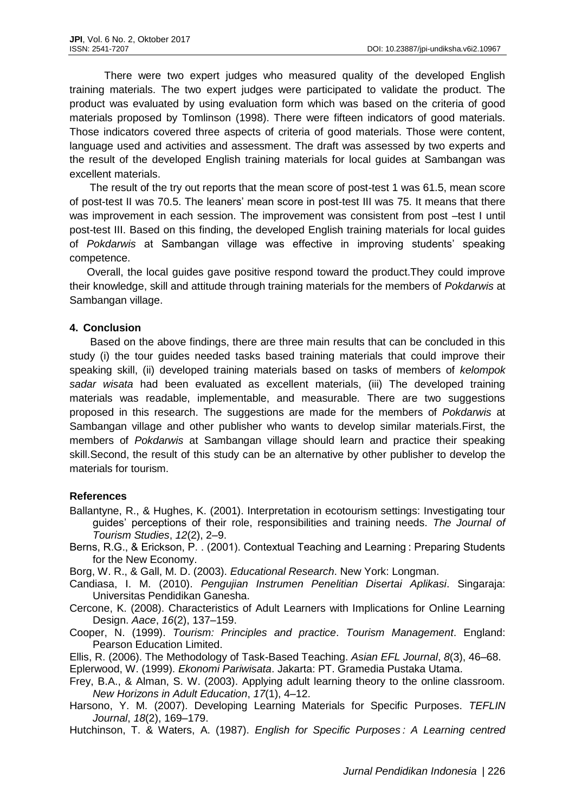There were two expert judges who measured quality of the developed English training materials. The two expert judges were participated to validate the product. The product was evaluated by using evaluation form which was based on the criteria of good materials proposed by Tomlinson (1998). There were fifteen indicators of good materials. Those indicators covered three aspects of criteria of good materials. Those were content, language used and activities and assessment. The draft was assessed by two experts and the result of the developed English training materials for local guides at Sambangan was excellent materials.

The result of the try out reports that the mean score of post-test 1 was 61.5, mean score of post-test II was 70.5. The leaners' mean score in post-test III was 75. It means that there was improvement in each session. The improvement was consistent from post -test I until post-test III. Based on this finding, the developed English training materials for local guides of *Pokdarwis* at Sambangan village was effective in improving students' speaking competence.

Overall, the local guides gave positive respond toward the product.They could improve their knowledge, skill and attitude through training materials for the members of *Pokdarwis* at Sambangan village.

## **4. Conclusion**

Based on the above findings, there are three main results that can be concluded in this study (i) the tour guides needed tasks based training materials that could improve their speaking skill, (ii) developed training materials based on tasks of members of *kelompok sadar wisata* had been evaluated as excellent materials, (iii) The developed training materials was readable, implementable, and measurable. There are two suggestions proposed in this research. The suggestions are made for the members of *Pokdarwis* at Sambangan village and other publisher who wants to develop similar materials.First, the members of *Pokdarwis* at Sambangan village should learn and practice their speaking skill.Second, the result of this study can be an alternative by other publisher to develop the materials for tourism.

#### **References**

- Ballantyne, R., & Hughes, K. (2001). Interpretation in ecotourism settings: Investigating tour guides' perceptions of their role, responsibilities and training needs. *The Journal of Tourism Studies*, *12*(2), 2–9.
- Berns, R.G., & Erickson, P. . (2001). Contextual Teaching and Learning : Preparing Students for the New Economy.
- Borg, W. R., & Gall, M. D. (2003). *Educational Research*. New York: Longman.
- Candiasa, I. M. (2010). *Pengujian Instrumen Penelitian Disertai Aplikasi*. Singaraja: Universitas Pendidikan Ganesha.
- Cercone, K. (2008). Characteristics of Adult Learners with Implications for Online Learning Design. *Aace*, *16*(2), 137–159.
- Cooper, N. (1999). *Tourism: Principles and practice*. *Tourism Management*. England: Pearson Education Limited.
- Ellis, R. (2006). The Methodology of Task-Based Teaching. *Asian EFL Journal*, *8*(3), 46–68.
- Eplerwood, W. (1999). *Ekonomi Pariwisata*. Jakarta: PT. Gramedia Pustaka Utama.
- Frey, B.A., & Alman, S. W. (2003). Applying adult learning theory to the online classroom. *New Horizons in Adult Education*, *17*(1), 4–12.
- Harsono, Y. M. (2007). Developing Learning Materials for Specific Purposes. *TEFLIN Journal*, *18*(2), 169–179.
- Hutchinson, T. & Waters, A. (1987). *English for Specific Purposes : A Learning centred*